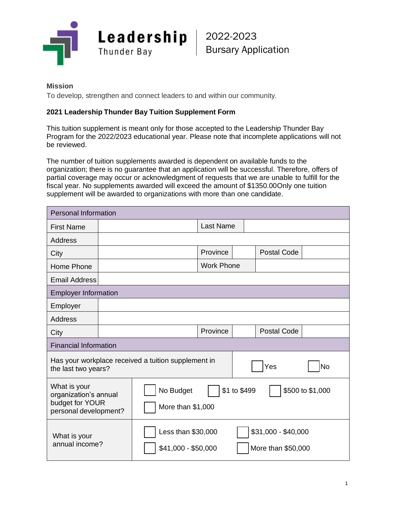

2022-2023 Bursary Application

## **Mission**

To develop, strengthen and connect leaders to and within our community.

## **2021 Leadership Thunder Bay Tuition Supplement Form**

This tuition supplement is meant only for those accepted to the Leadership Thunder Bay Program for the 2022/2023 educational year. Please note that incomplete applications will not be reviewed.

The number of tuition supplements awarded is dependent on available funds to the organization; there is no guarantee that an application will be successful. Therefore, offers of partial coverage may occur or acknowledgment of requests that we are unable to fulfill for the fiscal year. No supplements awarded will exceed the amount of \$1350.00Only one tuition supplement will be awarded to organizations with more than one candidate.

| <b>Personal Information</b>                                                       |  |                                                                    |                   |  |                                           |    |  |  |
|-----------------------------------------------------------------------------------|--|--------------------------------------------------------------------|-------------------|--|-------------------------------------------|----|--|--|
| <b>First Name</b>                                                                 |  |                                                                    | <b>Last Name</b>  |  |                                           |    |  |  |
| <b>Address</b>                                                                    |  |                                                                    |                   |  |                                           |    |  |  |
| City                                                                              |  |                                                                    | Province          |  | <b>Postal Code</b>                        |    |  |  |
| Home Phone                                                                        |  |                                                                    | <b>Work Phone</b> |  |                                           |    |  |  |
| <b>Email Address</b>                                                              |  |                                                                    |                   |  |                                           |    |  |  |
| <b>Employer Information</b>                                                       |  |                                                                    |                   |  |                                           |    |  |  |
| Employer                                                                          |  |                                                                    |                   |  |                                           |    |  |  |
| <b>Address</b>                                                                    |  |                                                                    |                   |  |                                           |    |  |  |
| City                                                                              |  |                                                                    | Province          |  | <b>Postal Code</b>                        |    |  |  |
| <b>Financial Information</b>                                                      |  |                                                                    |                   |  |                                           |    |  |  |
| Has your workplace received a tuition supplement in<br>the last two years?        |  |                                                                    |                   |  | Yes                                       | No |  |  |
| What is your<br>organization's annual<br>budget for YOUR<br>personal development? |  | \$1 to \$499<br>\$500 to \$1,000<br>No Budget<br>More than \$1,000 |                   |  |                                           |    |  |  |
| What is your<br>annual income?                                                    |  | Less than \$30,000<br>\$41,000 - \$50,000                          |                   |  | \$31,000 - \$40,000<br>More than \$50,000 |    |  |  |